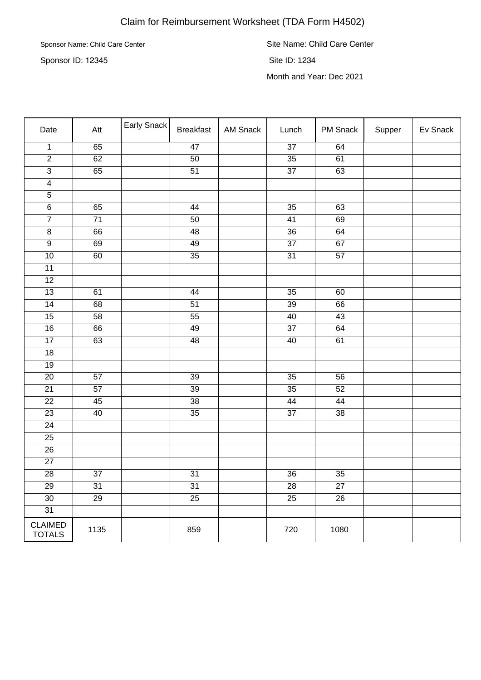## Claim for Reimbursement Worksheet (TDA Form H4502)

Sponsor Name: Child Care Center

Sponsor ID: 12345

Site Name: Child Care Center Site ID: 1234 Month and Year: Dec 2021

| Date                            | Att             | Early Snack | <b>Breakfast</b> | AM Snack | Lunch           | PM Snack        | Supper | Ev Snack |
|---------------------------------|-----------------|-------------|------------------|----------|-----------------|-----------------|--------|----------|
| $\overline{1}$                  | 65              |             | 47               |          | $\overline{37}$ | 64              |        |          |
| $\overline{2}$                  | $\overline{62}$ |             | $\overline{50}$  |          | $\overline{35}$ | $\overline{61}$ |        |          |
| $\overline{3}$                  | 65              |             | $\overline{51}$  |          | $\overline{37}$ | $\overline{63}$ |        |          |
| $\overline{4}$                  |                 |             |                  |          |                 |                 |        |          |
| $\overline{5}$                  |                 |             |                  |          |                 |                 |        |          |
| $\overline{6}$                  | 65              |             | 44               |          | $\overline{35}$ | 63              |        |          |
| $\overline{7}$                  | 71              |             | 50               |          | 41              | 69              |        |          |
| $\overline{8}$                  | 66              |             | 48               |          | $\overline{36}$ | 64              |        |          |
| $\overline{9}$                  | 69              |             | 49               |          | 37              | 67              |        |          |
| $\overline{10}$                 | 60              |             | $\overline{35}$  |          | $\overline{31}$ | $\overline{57}$ |        |          |
| 11                              |                 |             |                  |          |                 |                 |        |          |
| $\overline{12}$                 |                 |             |                  |          |                 |                 |        |          |
| $\overline{13}$                 | 61              |             | 44               |          | $\overline{35}$ | 60              |        |          |
| $\overline{14}$                 | 68              |             | $\overline{51}$  |          | $\overline{39}$ | 66              |        |          |
| 15                              | 58              |             | $\overline{55}$  |          | 40              | 43              |        |          |
| $\overline{16}$                 | 66              |             | 49               |          | $\overline{37}$ | 64              |        |          |
| $\overline{17}$                 | 63              |             | 48               |          | 40              | 61              |        |          |
| $\overline{18}$                 |                 |             |                  |          |                 |                 |        |          |
| 19                              |                 |             |                  |          |                 |                 |        |          |
| $\overline{20}$                 | 57              |             | $\overline{39}$  |          | $\overline{35}$ | 56              |        |          |
| $\overline{21}$                 | $\overline{57}$ |             | $\overline{39}$  |          | $\overline{35}$ | 52              |        |          |
| $\overline{22}$                 | 45              |             | $\overline{38}$  |          | 44              | 44              |        |          |
| $\overline{23}$                 | 40              |             | $\overline{35}$  |          | $\overline{37}$ | $\overline{38}$ |        |          |
| $\overline{24}$                 |                 |             |                  |          |                 |                 |        |          |
| 25                              |                 |             |                  |          |                 |                 |        |          |
| $\overline{26}$                 |                 |             |                  |          |                 |                 |        |          |
| $27\,$                          |                 |             |                  |          |                 |                 |        |          |
| $\overline{28}$                 | $\overline{37}$ |             | $\overline{31}$  |          | $\overline{36}$ | $\overline{35}$ |        |          |
| 29                              | 31              |             | 31               |          | 28              | 27              |        |          |
| $\overline{30}$                 | $\overline{29}$ |             | $\overline{25}$  |          | $\overline{25}$ | $\overline{26}$ |        |          |
| $\overline{31}$                 |                 |             |                  |          |                 |                 |        |          |
| <b>CLAIMED</b><br><b>TOTALS</b> | 1135            |             | 859              |          | 720             | 1080            |        |          |